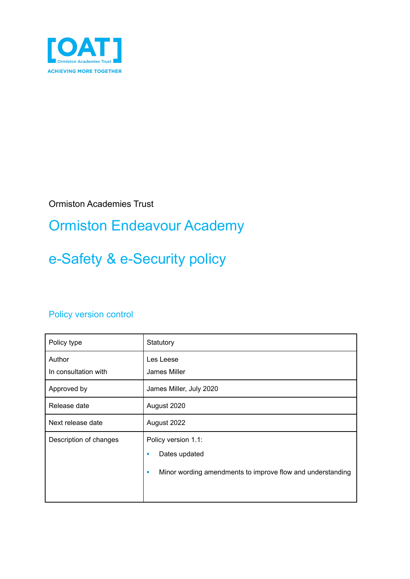

Ormiston Academies Trust

## Ormiston Endeavour Academy

# e-Safety & e-Security policy

#### Policy version control

| Policy type                    | Statutory                                                                                                    |
|--------------------------------|--------------------------------------------------------------------------------------------------------------|
| Author<br>In consultation with | Les Leese<br>James Miller                                                                                    |
| Approved by                    | James Miller, July 2020                                                                                      |
| Release date                   | August 2020                                                                                                  |
| Next release date              | August 2022                                                                                                  |
| Description of changes         | Policy version 1.1:<br>Dates updated<br>٠<br>Minor wording amendments to improve flow and understanding<br>ш |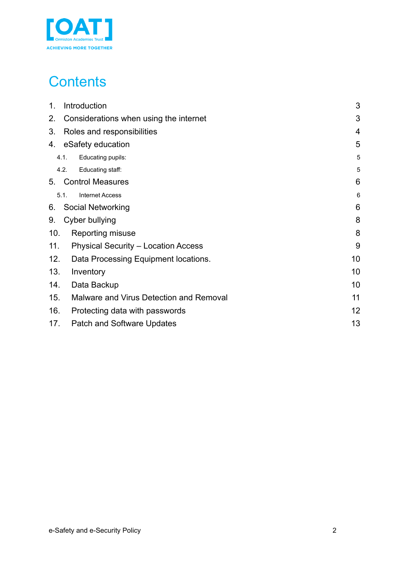

## **Contents**

| 1.<br>Introduction                                | 3              |
|---------------------------------------------------|----------------|
| 2.<br>Considerations when using the internet      | 3              |
| 3.<br>Roles and responsibilities                  | $\overline{4}$ |
| 4. eSafety education                              | 5              |
| 4.1.<br>Educating pupils:                         | 5              |
| 4.2.<br>Educating staff:                          | 5              |
| <b>Control Measures</b><br>5.                     | 6              |
| 5.1.<br><b>Internet Access</b>                    | 6              |
| Social Networking<br>6.                           | 6              |
| 9.<br>Cyber bullying                              | 8              |
| 10.<br>Reporting misuse                           | 8              |
| <b>Physical Security - Location Access</b><br>11. | 9              |
| 12.<br>Data Processing Equipment locations.       | 10             |
| 13.<br>Inventory                                  | 10             |
| Data Backup<br>14.                                | 10             |
| 15.<br>Malware and Virus Detection and Removal    | 11             |
| 16.<br>Protecting data with passwords             | 12             |
| 17.<br><b>Patch and Software Updates</b>          | 13             |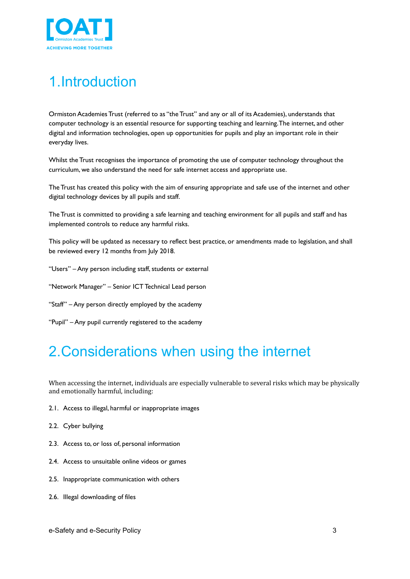

## <span id="page-2-0"></span>1.Introduction

Ormiston Academies Trust (referred to as "the Trust" and any or all of its Academies), understands that computer technology is an essential resource for supporting teaching and learning.The internet, and other digital and information technologies, open up opportunities for pupils and play an important role in their everyday lives.

Whilst the Trust recognises the importance of promoting the use of computer technology throughout the curriculum, we also understand the need for safe internet access and appropriate use.

The Trust has created this policy with the aim of ensuring appropriate and safe use of the internet and other digital technology devices by all pupils and staff.

The Trust is committed to providing a safe learning and teaching environment for all pupils and staff and has implemented controls to reduce any harmful risks.

This policy will be updated as necessary to reflect best practice, or amendments made to legislation, and shall be reviewed every 12 months from July 2018.

- "Users" Any person including staff, students or external
- "Network Manager" Senior ICT Technical Lead person
- "Staff" Any person directly employed by the academy
- "Pupil" Any pupil currently registered to the academy

## <span id="page-2-1"></span>2.Considerations when using the internet

When accessing the internet, individuals are especially vulnerable to several risks which may be physically and emotionally harmful, including:

- 2.1. Access to illegal, harmful or inappropriate images
- 2.2. Cyber bullying
- 2.3. Access to, or loss of, personal information
- 2.4. Access to unsuitable online videos or games
- 2.5. Inappropriate communication with others
- 2.6. Illegal downloading of files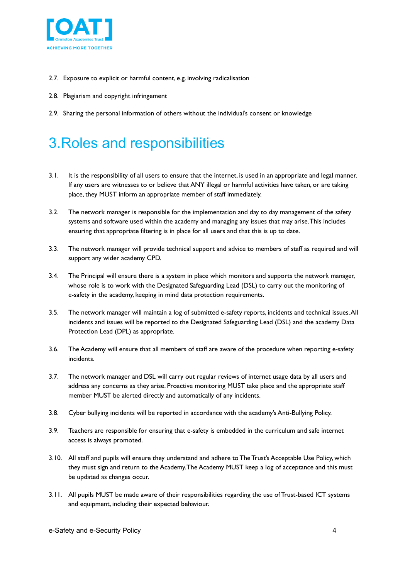

- 2.7. Exposure to explicit or harmful content, e.g. involving radicalisation
- 2.8. Plagiarism and copyright infringement
- 2.9. Sharing the personal information of others without the individual's consent or knowledge

## <span id="page-3-0"></span>3.Roles and responsibilities

- 3.1. It is the responsibility of all users to ensure that the internet, is used in an appropriate and legal manner. If any users are witnesses to or believe that ANY illegal or harmful activities have taken, or are taking place, they MUST inform an appropriate member of staff immediately.
- 3.2. The network manager is responsible for the implementation and day to day management of the safety systems and software used within the academy and managing any issues that may arise.This includes ensuring that appropriate filtering is in place for all users and that this is up to date.
- 3.3. The network manager will provide technical support and advice to members of staff as required and will support any wider academy CPD.
- 3.4. The Principal will ensure there is a system in place which monitors and supports the network manager, whose role is to work with the Designated Safeguarding Lead (DSL) to carry out the monitoring of e-safety in the academy, keeping in mind data protection requirements.
- 3.5. The network manager will maintain a log of submitted e-safety reports, incidents and technical issues.All incidents and issues will be reported to the Designated Safeguarding Lead (DSL) and the academy Data Protection Lead (DPL) as appropriate.
- 3.6. The Academy will ensure that all members of staff are aware of the procedure when reporting e-safety incidents.
- 3.7. The network manager and DSL will carry out regular reviews of internet usage data by all users and address any concerns as they arise. Proactive monitoring MUST take place and the appropriate staff member MUST be alerted directly and automatically of any incidents.
- 3.8. Cyber bullying incidents will be reported in accordance with the academy's Anti-Bullying Policy.
- 3.9. Teachers are responsible for ensuring that e-safety is embedded in the curriculum and safe internet access is always promoted.
- 3.10. All staff and pupils will ensure they understand and adhere to The Trust's Acceptable Use Policy, which they must sign and return to the Academy.The Academy MUST keep a log of acceptance and this must be updated as changes occur.
- 3.11. All pupils MUST be made aware of their responsibilities regarding the use of Trust-based ICT systems and equipment, including their expected behaviour.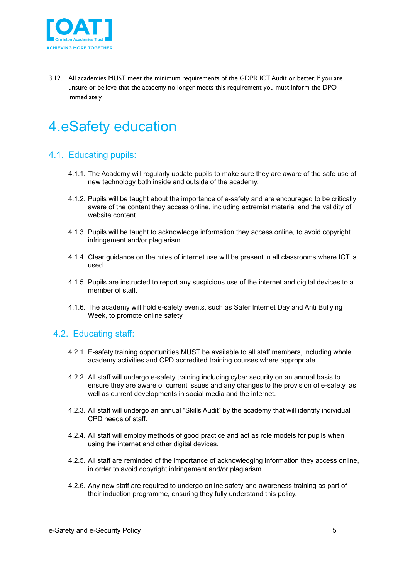

3.12. All academies MUST meet the minimum requirements of the GDPR ICT Audit or better. If you are unsure or believe that the academy no longer meets this requirement you must inform the DPO immediately.

## <span id="page-4-0"></span>4.eSafety education

#### <span id="page-4-1"></span>4.1. Educating pupils:

- 4.1.1. The Academy will regularly update pupils to make sure they are aware of the safe use of new technology both inside and outside of the academy.
- 4.1.2. Pupils will be taught about the importance of e-safety and are encouraged to be critically aware of the content they access online, including extremist material and the validity of website content.
- 4.1.3. Pupils will be taught to acknowledge information they access online, to avoid copyright infringement and/or plagiarism.
- 4.1.4. Clear guidance on the rules of internet use will be present in all classrooms where ICT is used.
- 4.1.5. Pupils are instructed to report any suspicious use of the internet and digital devices to a member of staff.
- 4.1.6. The academy will hold e-safety events, such as Safer Internet Day and Anti Bullying Week, to promote online safety.

#### <span id="page-4-2"></span>4.2. Educating staff:

- 4.2.1. E-safety training opportunities MUST be available to all staff members, including whole academy activities and CPD accredited training courses where appropriate.
- 4.2.2. All staff will undergo e-safety training including cyber security on an annual basis to ensure they are aware of current issues and any changes to the provision of e-safety, as well as current developments in social media and the internet.
- 4.2.3. All staff will undergo an annual "Skills Audit" by the academy that will identify individual CPD needs of staff.
- 4.2.4. All staff will employ methods of good practice and act as role models for pupils when using the internet and other digital devices.
- 4.2.5. All staff are reminded of the importance of acknowledging information they access online, in order to avoid copyright infringement and/or plagiarism.
- 4.2.6. Any new staff are required to undergo online safety and awareness training as part of their induction programme, ensuring they fully understand this policy.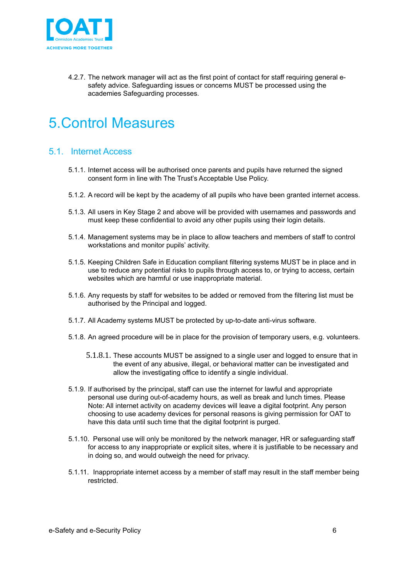

4.2.7. The network manager will act as the first point of contact for staff requiring general esafety advice. Safeguarding issues or concerns MUST be processed using the academies Safeguarding processes.

## <span id="page-5-0"></span>5.Control Measures

#### <span id="page-5-1"></span>5.1. Internet Access

- 5.1.1. Internet access will be authorised once parents and pupils have returned the signed consent form in line with The Trust's Acceptable Use Policy.
- 5.1.2. A record will be kept by the academy of all pupils who have been granted internet access.
- 5.1.3. All users in Key Stage 2 and above will be provided with usernames and passwords and must keep these confidential to avoid any other pupils using their login details.
- 5.1.4. Management systems may be in place to allow teachers and members of staff to control workstations and monitor pupils' activity.
- 5.1.5. Keeping Children Safe in Education compliant filtering systems MUST be in place and in use to reduce any potential risks to pupils through access to, or trying to access, certain websites which are harmful or use inappropriate material.
- 5.1.6. Any requests by staff for websites to be added or removed from the filtering list must be authorised by the Principal and logged.
- 5.1.7. All Academy systems MUST be protected by up-to-date anti-virus software.
- 5.1.8. An agreed procedure will be in place for the provision of temporary users, e.g. volunteers.
	- 5.1.8.1. These accounts MUST be assigned to a single user and logged to ensure that in the event of any abusive, illegal, or behavioral matter can be investigated and allow the investigating office to identify a single individual.
- 5.1.9. If authorised by the principal, staff can use the internet for lawful and appropriate personal use during out-of-academy hours, as well as break and lunch times. Please Note: All internet activity on academy devices will leave a digital footprint. Any person choosing to use academy devices for personal reasons is giving permission for OAT to have this data until such time that the digital footprint is purged.
- 5.1.10. Personal use will only be monitored by the network manager, HR or safeguarding staff for access to any inappropriate or explicit sites, where it is justifiable to be necessary and in doing so, and would outweigh the need for privacy.
- 5.1.11. Inappropriate internet access by a member of staff may result in the staff member being restricted.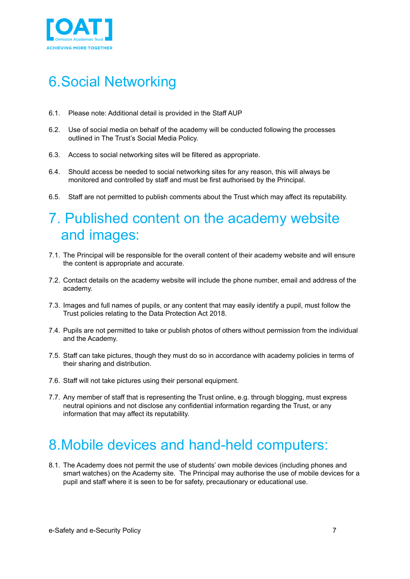

## <span id="page-6-0"></span>6.Social Networking

- 6.1. Please note: Additional detail is provided in the Staff AUP
- 6.2. Use of social media on behalf of the academy will be conducted following the processes outlined in The Trust's Social Media Policy.
- 6.3. Access to social networking sites will be filtered as appropriate.
- 6.4. Should access be needed to social networking sites for any reason, this will always be monitored and controlled by staff and must be first authorised by the Principal.
- 6.5. Staff are not permitted to publish comments about the Trust which may affect its reputability.

### 7. Published content on the academy website and images:

- 7.1. The Principal will be responsible for the overall content of their academy website and will ensure the content is appropriate and accurate.
- 7.2. Contact details on the academy website will include the phone number, email and address of the academy.
- 7.3. Images and full names of pupils, or any content that may easily identify a pupil, must follow the Trust policies relating to the Data Protection Act 2018.
- 7.4. Pupils are not permitted to take or publish photos of others without permission from the individual and the Academy.
- 7.5. Staff can take pictures, though they must do so in accordance with academy policies in terms of their sharing and distribution.
- 7.6. Staff will not take pictures using their personal equipment.
- 7.7. Any member of staff that is representing the Trust online, e.g. through blogging, must express neutral opinions and not disclose any confidential information regarding the Trust, or any information that may affect its reputability.

### 8.Mobile devices and hand-held computers:

8.1. The Academy does not permit the use of students' own mobile devices (including phones and smart watches) on the Academy site. The Principal may authorise the use of mobile devices for a pupil and staff where it is seen to be for safety, precautionary or educational use.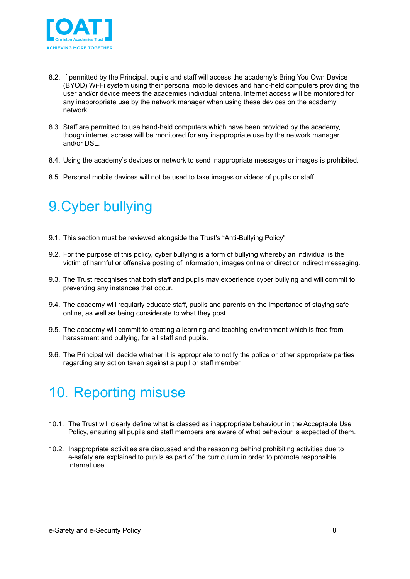

- 8.2. If permitted by the Principal, pupils and staff will access the academy's Bring You Own Device (BYOD) Wi-Fi system using their personal mobile devices and hand-held computers providing the user and/or device meets the academies individual criteria. Internet access will be monitored for any inappropriate use by the network manager when using these devices on the academy network.
- 8.3. Staff are permitted to use hand-held computers which have been provided by the academy, though internet access will be monitored for any inappropriate use by the network manager and/or DSL.
- 8.4. Using the academy's devices or network to send inappropriate messages or images is prohibited.
- 8.5. Personal mobile devices will not be used to take images or videos of pupils or staff.

## <span id="page-7-0"></span>9.Cyber bullying

- 9.1. This section must be reviewed alongside the Trust's "Anti-Bullying Policy"
- 9.2. For the purpose of this policy, cyber bullying is a form of bullying whereby an individual is the victim of harmful or offensive posting of information, images online or direct or indirect messaging.
- 9.3. The Trust recognises that both staff and pupils may experience cyber bullying and will commit to preventing any instances that occur.
- 9.4. The academy will regularly educate staff, pupils and parents on the importance of staying safe online, as well as being considerate to what they post.
- 9.5. The academy will commit to creating a learning and teaching environment which is free from harassment and bullying, for all staff and pupils.
- 9.6. The Principal will decide whether it is appropriate to notify the police or other appropriate parties regarding any action taken against a pupil or staff member.

## <span id="page-7-1"></span>10. Reporting misuse

- 10.1. The Trust will clearly define what is classed as inappropriate behaviour in the Acceptable Use Policy, ensuring all pupils and staff members are aware of what behaviour is expected of them.
- 10.2. Inappropriate activities are discussed and the reasoning behind prohibiting activities due to e-safety are explained to pupils as part of the curriculum in order to promote responsible internet use.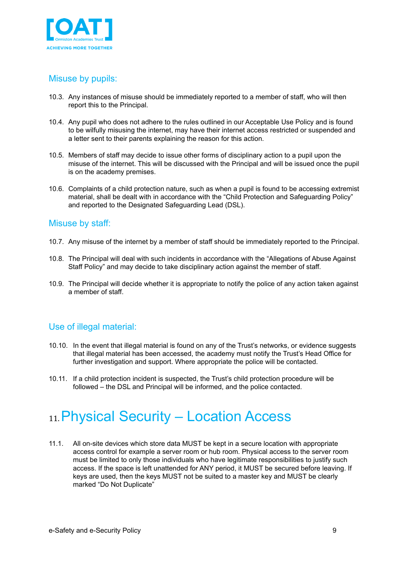

#### Misuse by pupils:

- 10.3. Any instances of misuse should be immediately reported to a member of staff, who will then report this to the Principal.
- 10.4. Any pupil who does not adhere to the rules outlined in our Acceptable Use Policy and is found to be wilfully misusing the internet, may have their internet access restricted or suspended and a letter sent to their parents explaining the reason for this action.
- 10.5. Members of staff may decide to issue other forms of disciplinary action to a pupil upon the misuse of the internet. This will be discussed with the Principal and will be issued once the pupil is on the academy premises.
- 10.6. Complaints of a child protection nature, such as when a pupil is found to be accessing extremist material, shall be dealt with in accordance with the "Child Protection and Safeguarding Policy" and reported to the Designated Safeguarding Lead (DSL).

#### Misuse by staff:

- 10.7. Any misuse of the internet by a member of staff should be immediately reported to the Principal.
- 10.8. The Principal will deal with such incidents in accordance with the "Allegations of Abuse Against Staff Policy" and may decide to take disciplinary action against the member of staff.
- 10.9. The Principal will decide whether it is appropriate to notify the police of any action taken against a member of staff.

#### Use of illegal material:

- 10.10. In the event that illegal material is found on any of the Trust's networks, or evidence suggests that illegal material has been accessed, the academy must notify the Trust's Head Office for further investigation and support. Where appropriate the police will be contacted.
- 10.11. If a child protection incident is suspected, the Trust's child protection procedure will be followed – the DSL and Principal will be informed, and the police contacted.

## <span id="page-8-0"></span>11.Physical Security – Location Access

11.1. All on-site devices which store data MUST be kept in a secure location with appropriate access control for example a server room or hub room. Physical access to the server room must be limited to only those individuals who have legitimate responsibilities to justify such access. If the space is left unattended for ANY period, it MUST be secured before leaving. If keys are used, then the keys MUST not be suited to a master key and MUST be clearly marked "Do Not Duplicate"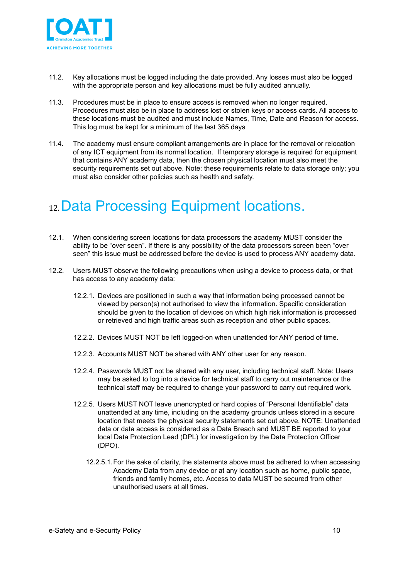

- 11.2. Key allocations must be logged including the date provided. Any losses must also be logged with the appropriate person and key allocations must be fully audited annually.
- 11.3. Procedures must be in place to ensure access is removed when no longer required. Procedures must also be in place to address lost or stolen keys or access cards. All access to these locations must be audited and must include Names, Time, Date and Reason for access. This log must be kept for a minimum of the last 365 days
- 11.4. The academy must ensure compliant arrangements are in place for the removal or relocation of any ICT equipment from its normal location. If temporary storage is required for equipment that contains ANY academy data, then the chosen physical location must also meet the security requirements set out above. Note: these requirements relate to data storage only; you must also consider other policies such as health and safety.

## <span id="page-9-0"></span>12.Data Processing Equipment locations.

- 12.1. When considering screen locations for data processors the academy MUST consider the ability to be "over seen". If there is any possibility of the data processors screen been "over seen" this issue must be addressed before the device is used to process ANY academy data.
- 12.2. Users MUST observe the following precautions when using a device to process data, or that has access to any academy data:
	- 12.2.1. Devices are positioned in such a way that information being processed cannot be viewed by person(s) not authorised to view the information. Specific consideration should be given to the location of devices on which high risk information is processed or retrieved and high traffic areas such as reception and other public spaces.
	- 12.2.2. Devices MUST NOT be left logged-on when unattended for ANY period of time.
	- 12.2.3. Accounts MUST NOT be shared with ANY other user for any reason.
	- 12.2.4. Passwords MUST not be shared with any user, including technical staff. Note: Users may be asked to log into a device for technical staff to carry out maintenance or the technical staff may be required to change your password to carry out required work.
	- 12.2.5. Users MUST NOT leave unencrypted or hard copies of "Personal Identifiable" data unattended at any time, including on the academy grounds unless stored in a secure location that meets the physical security statements set out above. NOTE: Unattended data or data access is considered as a Data Breach and MUST BE reported to your local Data Protection Lead (DPL) for investigation by the Data Protection Officer (DPO).
		- 12.2.5.1.For the sake of clarity, the statements above must be adhered to when accessing Academy Data from any device or at any location such as home, public space, friends and family homes, etc. Access to data MUST be secured from other unauthorised users at all times.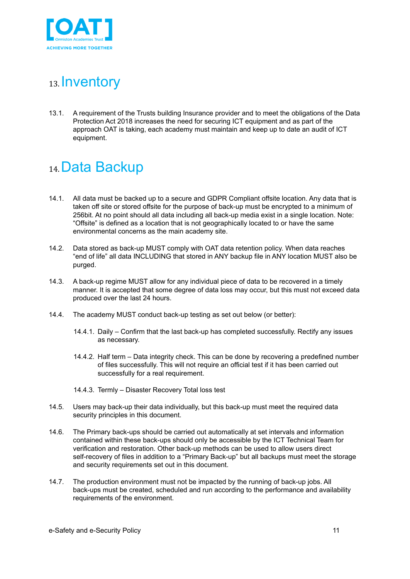

## <span id="page-10-0"></span>13. **Inventory**

13.1. A requirement of the Trusts building Insurance provider and to meet the obligations of the Data Protection Act 2018 increases the need for securing ICT equipment and as part of the approach OAT is taking, each academy must maintain and keep up to date an audit of ICT equipment.

#### <span id="page-10-1"></span>14.Data Backup

- 14.1. All data must be backed up to a secure and GDPR Compliant offsite location. Any data that is taken off site or stored offsite for the purpose of back-up must be encrypted to a minimum of 256bit. At no point should all data including all back-up media exist in a single location. Note: "Offsite" is defined as a location that is not geographically located to or have the same environmental concerns as the main academy site.
- 14.2. Data stored as back-up MUST comply with OAT data retention policy. When data reaches "end of life" all data INCLUDING that stored in ANY backup file in ANY location MUST also be purged.
- 14.3. A back-up regime MUST allow for any individual piece of data to be recovered in a timely manner. It is accepted that some degree of data loss may occur, but this must not exceed data produced over the last 24 hours.
- 14.4. The academy MUST conduct back-up testing as set out below (or better):
	- 14.4.1. Daily Confirm that the last back-up has completed successfully. Rectify any issues as necessary.
	- 14.4.2. Half term Data integrity check. This can be done by recovering a predefined number of files successfully. This will not require an official test if it has been carried out successfully for a real requirement.
	- 14.4.3. Termly Disaster Recovery Total loss test
- 14.5. Users may back-up their data individually, but this back-up must meet the required data security principles in this document.
- 14.6. The Primary back-ups should be carried out automatically at set intervals and information contained within these back-ups should only be accessible by the ICT Technical Team for verification and restoration. Other back-up methods can be used to allow users direct self-recovery of files in addition to a "Primary Back-up" but all backups must meet the storage and security requirements set out in this document.
- 14.7. The production environment must not be impacted by the running of back-up jobs. All back-ups must be created, scheduled and run according to the performance and availability requirements of the environment.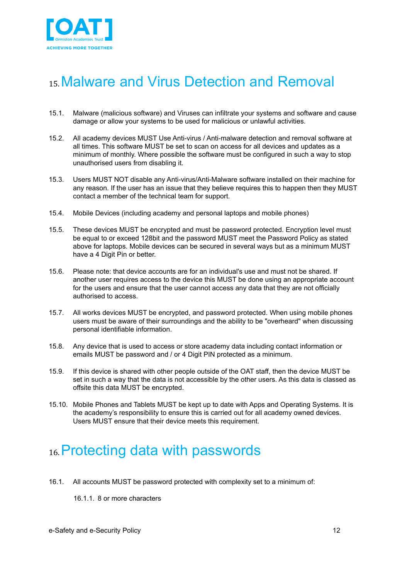

## <span id="page-11-0"></span>15.Malware and Virus Detection and Removal

- 15.1. Malware (malicious software) and Viruses can infiltrate your systems and software and cause damage or allow your systems to be used for malicious or unlawful activities.
- 15.2. All academy devices MUST Use Anti-virus / Anti-malware detection and removal software at all times. This software MUST be set to scan on access for all devices and updates as a minimum of monthly. Where possible the software must be configured in such a way to stop unauthorised users from disabling it.
- 15.3. Users MUST NOT disable any Anti-virus/Anti-Malware software installed on their machine for any reason. If the user has an issue that they believe requires this to happen then they MUST contact a member of the technical team for support.
- 15.4. Mobile Devices (including academy and personal laptops and mobile phones)
- 15.5. These devices MUST be encrypted and must be password protected. Encryption level must be equal to or exceed 128bit and the password MUST meet the Password Policy as stated above for laptops. Mobile devices can be secured in several ways but as a minimum MUST have a 4 Digit Pin or better.
- 15.6. Please note: that device accounts are for an individual's use and must not be shared. If another user requires access to the device this MUST be done using an appropriate account for the users and ensure that the user cannot access any data that they are not officially authorised to access.
- 15.7. All works devices MUST be encrypted, and password protected. When using mobile phones users must be aware of their surroundings and the ability to be "overheard" when discussing personal identifiable information.
- 15.8. Any device that is used to access or store academy data including contact information or emails MUST be password and / or 4 Digit PIN protected as a minimum.
- 15.9. If this device is shared with other people outside of the OAT staff, then the device MUST be set in such a way that the data is not accessible by the other users. As this data is classed as offsite this data MUST be encrypted.
- 15.10. Mobile Phones and Tablets MUST be kept up to date with Apps and Operating Systems. It is the academy's responsibility to ensure this is carried out for all academy owned devices. Users MUST ensure that their device meets this requirement.

## <span id="page-11-1"></span>16.Protecting data with passwords

16.1. All accounts MUST be password protected with complexity set to a minimum of:

16.1.1. 8 or more characters